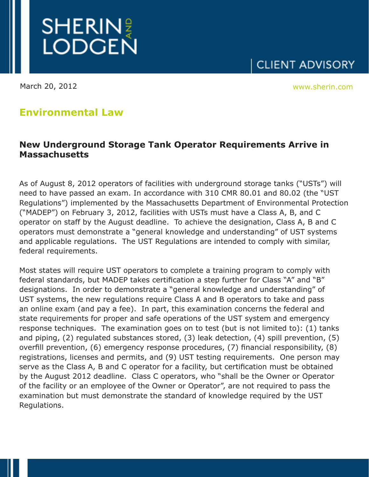

March 20, 2012 www.sherin.com

**CLIENT ADVISORY** 

## **Environmental Law**

## **New Underground Storage Tank Operator Requirements Arrive in Massachusetts**

As of August 8, 2012 operators of facilities with underground storage tanks ("USTs") will need to have passed an exam. In accordance with 310 CMR 80.01 and 80.02 (the "UST Regulations") implemented by the Massachusetts Department of Environmental Protection ("MADEP") on February 3, 2012, facilities with USTs must have a Class A, B, and C operator on staff by the August deadline. To achieve the designation, Class A, B and C operators must demonstrate a "general knowledge and understanding" of UST systems and applicable regulations. The UST Regulations are intended to comply with similar, federal requirements.

Most states will require UST operators to complete a training program to comply with federal standards, but MADEP takes certification a step further for Class "A" and "B" designations. In order to demonstrate a "general knowledge and understanding" of UST systems, the new regulations require Class A and B operators to take and pass an online exam (and pay a fee). In part, this examination concerns the federal and state requirements for proper and safe operations of the UST system and emergency response techniques. The examination goes on to test (but is not limited to): (1) tanks and piping, (2) regulated substances stored, (3) leak detection, (4) spill prevention, (5) overfill prevention, (6) emergency response procedures, (7) financial responsibility, (8) registrations, licenses and permits, and (9) UST testing requirements. One person may serve as the Class A, B and C operator for a facility, but certification must be obtained by the August 2012 deadline. Class C operators, who "shall be the Owner or Operator of the facility or an employee of the Owner or Operator", are not required to pass the examination but must demonstrate the standard of knowledge required by the UST Regulations.